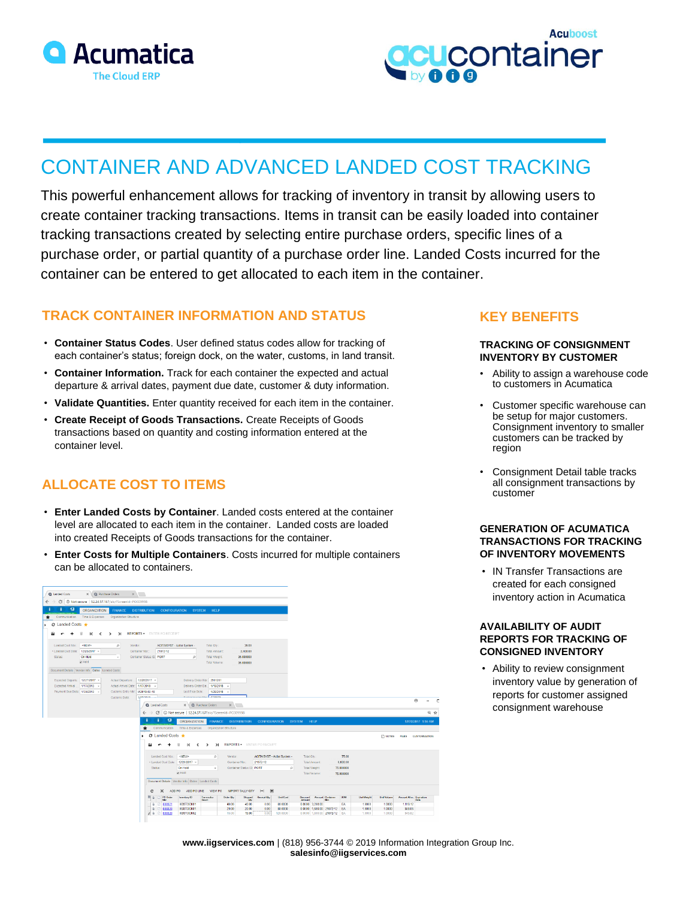



# CONTAINER AND ADVANCED LANDED COST TRACKING

This powerful enhancement allows for tracking of inventory in transit by allowing users to create container tracking transactions. Items in transit can be easily loaded into container tracking transactions created by selecting entire purchase orders, specific lines of a purchase order, or partial quantity of a purchase order line. Landed Costs incurred for the container can be entered to get allocated to each item in the container.

### **TRACK CONTAINER INFORMATION AND STATUS**

- **Container Status Codes**. User defined status codes allow for tracking of each container's status; foreign dock, on the water, customs, in land transit.
- **Container Information.** Track for each container the expected and actual departure & arrival dates, payment due date, customer & duty information.
- **Validate Quantities.** Enter quantity received for each item in the container.
- **Create Receipt of Goods Transactions.** Create Receipts of Goods transactions based on quantity and costing information entered at the container level.

## **ALLOCATE COST TO ITEMS**

- **Enter Landed Costs by Container**. Landed costs entered at the container level are allocated to each item in the container. Landed costs are loaded into created Receipts of Goods transactions for the container.
- **Enter Costs for Multiple Containers**. Costs incurred for multiple containers can be allocated to containers.

| X C Purchase Orders X X<br>Q Landed Costs                                            |                                                                                      |                                                |                                     |                                                      |                                     |                    |                                           |                    |
|--------------------------------------------------------------------------------------|--------------------------------------------------------------------------------------|------------------------------------------------|-------------------------------------|------------------------------------------------------|-------------------------------------|--------------------|-------------------------------------------|--------------------|
| C 1 (0) Not secure 52,24.57,167/alc/?ScreenId=PO309998<br>$\leftarrow$ $\rightarrow$ |                                                                                      |                                                |                                     |                                                      |                                     |                    |                                           |                    |
| 9<br><b>ORGANIZATION</b><br><b>FINANCE</b>                                           | <b>DISTRIBUTION</b><br><b>CONFIGURATION</b><br>SYSTEM HELP                           |                                                |                                     |                                                      |                                     |                    |                                           |                    |
| Communication Time & Expenses<br>Organization Structure                              |                                                                                      |                                                |                                     |                                                      |                                     |                    |                                           |                    |
| <b>C</b> Landed Costs ★                                                              |                                                                                      |                                                |                                     |                                                      |                                     |                    |                                           |                    |
| K < > > > REPORTS * ENTER PORECEIPT<br>ы<br>$\blacksquare$                           |                                                                                      |                                                |                                     |                                                      |                                     |                    |                                           |                    |
|                                                                                      |                                                                                      |                                                |                                     |                                                      |                                     |                    |                                           |                    |
| Landed Cost Nbr.<br><new><br/><math>\circ</math><br/>Vendor:</new>                   | ACITAISYST - Acitai System -                                                         | 35.00<br>Total Oty.                            |                                     |                                                      |                                     |                    |                                           |                    |
| * Landed Cost Date: 12/20/2017 *                                                     | 21072-12<br>Container Nbr.:                                                          | 3,400.00<br>Total Amount:                      |                                     |                                                      |                                     |                    |                                           |                    |
| Stetus:<br>On Held<br>$\;$                                                           | Container Status ID: PORT<br>$\Omega$                                                | Total Weight:<br>35,000000                     |                                     |                                                      |                                     |                    |                                           |                    |
| <b>Digital</b>                                                                       |                                                                                      | Total Volume:<br>35,000000                     |                                     |                                                      |                                     |                    |                                           |                    |
| Document Datails Vender Info Dates Landed Costs                                      |                                                                                      |                                                |                                     |                                                      |                                     |                    |                                           |                    |
| Expected Departu. 12/27/2017 -<br>Actual Departure .                                 | 12/28/2017 -<br>Delivery Order Nbr: 2901201                                          |                                                |                                     |                                                      |                                     |                    |                                           |                    |
| Expected Arrival  1/17/2018 -<br>Actual Arrival Date: 1/17/2018 -                    |                                                                                      | Delivery Order Da., 1/19/2018 -                |                                     |                                                      |                                     |                    |                                           |                    |
| Payment Due Date: 1/30/2018 -<br>Customs Entry Nbr. 42018-02-18                      | Last Free Date:                                                                      | 1/29/2018                                      |                                     |                                                      |                                     |                    |                                           |                    |
| Customs Date:                                                                        | <b>Broker Installed Mary PRANTS</b><br>1/50/1018                                     |                                                |                                     |                                                      |                                     |                    | $\Theta$                                  | <b>D</b>           |
|                                                                                      | $\times$ $\Box$ Purchase Orders<br>Q Landed Costs                                    | x                                              |                                     |                                                      |                                     |                    |                                           |                    |
|                                                                                      | C   0 Not secure   52.24.57.167/alc/?ScreenId=PO309998<br>$\leftarrow$ $\rightarrow$ |                                                |                                     |                                                      |                                     |                    |                                           | 日 ☆                |
|                                                                                      | 9<br>п<br><b>ORGANIZATION</b>                                                        | <b>FINANCE</b><br><b>DISTRIBUTION</b>          | <b>CONFIGURATION</b>                | HELP<br><b>SYSTEM</b>                                |                                     |                    |                                           | 12/20/2017 1:55 AM |
|                                                                                      | Communication<br>Time & Expenses<br>*                                                | Organization Structure                         |                                     |                                                      |                                     |                    |                                           |                    |
|                                                                                      | <b>◯</b> Landed Costs ★                                                              |                                                |                                     |                                                      |                                     |                    | NOTES FILES CUSTOMIZATION                 |                    |
|                                                                                      |                                                                                      | <b>REPORTS - ENTER PO RECEIPT</b><br>$\lambda$ |                                     |                                                      |                                     |                    |                                           |                    |
|                                                                                      | к<br>ы<br>$\prec$<br>$\overline{ }$                                                  | $\rightarrow$                                  |                                     |                                                      |                                     |                    |                                           |                    |
|                                                                                      | Landed Cost Nbr.<br>$-NEW$                                                           | Ventor:<br>o                                   | ACITAISYST - Acitai System -        | Total City.:                                         | 75.00                               |                    |                                           |                    |
|                                                                                      | * Landed Cost Date: 12/20/2017 *                                                     | Container Nbr.:                                | 21072-12                            | <b>Total Amount</b>                                  | 6,600.00                            |                    |                                           |                    |
|                                                                                      | Status:<br>On Hold                                                                   | Container Status ID: PORT<br>$\;$              | $\mathcal{D}$                       | <b>Total Weight:</b>                                 | 75,000010                           |                    |                                           |                    |
|                                                                                      | <b>Didd</b>                                                                          |                                                |                                     | Total Volume:                                        | 75,000010                           |                    |                                           |                    |
|                                                                                      | Document Details   Vendor Info   Dates   Landed Costs                                |                                                |                                     |                                                      |                                     |                    |                                           |                    |
|                                                                                      | $\times$<br>ADD PO<br>ADD PO LINE VIEW PO<br>c                                       | <b>IMPORT TALLY QTY</b>                        | $ \mathbf{x} $<br> m                |                                                      |                                     |                    |                                           |                    |
|                                                                                      | PO Order<br>Inventory ID<br>st.                                                      | Transaction<br>Order Oly.<br><b>Shipped</b>    | Receipt Oly.<br><b>Unit Cost</b>    | <b>Amount Container</b><br>Discount                  | UOM<br><b>Unit Weight</b>           | <b>Unit Volume</b> | <b>Arrount Alloc.</b> Expiration<br>Date: |                    |
|                                                                                      | Descr.<br>IGSTOCK01<br>$\theta$<br>000021<br>Ð                                       | <b>Oty</b><br>40.00<br>40.00                   | 0.00<br>80,0000                     | Amount<br>0.0100 3.200.00                            | EA<br>1.0000                        | 10000              | 1,116.12                                  |                    |
|                                                                                      | $\mathbb Q_2$<br>000120<br><b>IIGSTOCK01</b><br>2a<br>000020<br>IIGSTOCK02           | 20.00<br>20.00<br>15.00<br>15.00               | 0.00<br>80,0000<br>0.00<br>120,0000 | 0.0100 1.600.00 21072-12<br>0.0100 1,800.00 21072-12 | EA<br>1,0010<br><b>BA</b><br>1,0010 | 1,0100<br>1,0100   | 558.06<br>545.82                          |                    |
|                                                                                      |                                                                                      |                                                |                                     |                                                      |                                     |                    |                                           |                    |

### **KEY BENEFITS**

#### **TRACKING OF CONSIGNMENT INVENTORY BY CUSTOMER**

- Ability to assign a warehouse code to customers in Acumatica
- Customer specific warehouse can be setup for major customers. Consignment inventory to smaller customers can be tracked by region
- Consignment Detail table tracks all consignment transactions by customer

### **GENERATION OF ACUMATICA TRANSACTIONS FOR TRACKING OF INVENTORY MOVEMENTS**

• IN Transfer Transactions are created for each consigned inventory action in Acumatica

### **AVAILABILITY OF AUDIT REPORTS FOR TRACKING OF CONSIGNED INVENTORY**

• Ability to review consignment inventory value by generation of reports for customer assigned consignment warehouse

**www.iigservices.com** | (818) 956-3744 © 2019 Information Integration Group Inc. **salesinfo@iigservices.com**